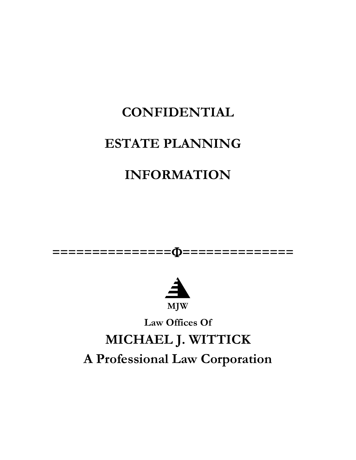# **CONFIDENTIAL**

## **ESTATE PLANNING**

## **INFORMATION**





**Law Offices Of**

# **MICHAEL J. WITTICK A Professional Law Corporation**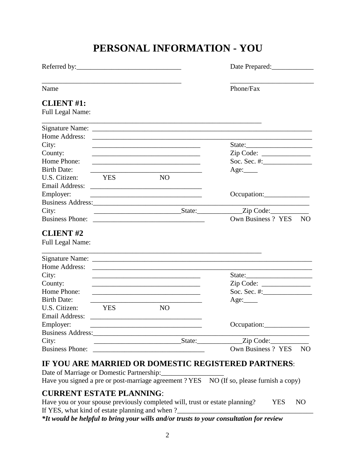### **PERSONAL INFORMATION - YOU**

| Referred by:                                 |             |                                                                                                                      | Date Prepared:                                |  |  |
|----------------------------------------------|-------------|----------------------------------------------------------------------------------------------------------------------|-----------------------------------------------|--|--|
| Name                                         |             |                                                                                                                      | Phone/Fax                                     |  |  |
| <b>CLIENT #1:</b><br><b>Full Legal Name:</b> |             |                                                                                                                      |                                               |  |  |
|                                              |             | and the control of the control of the control of the control of the control of the control of the control of the     |                                               |  |  |
|                                              |             |                                                                                                                      |                                               |  |  |
| City:                                        |             |                                                                                                                      |                                               |  |  |
|                                              |             |                                                                                                                      | State:                                        |  |  |
| County:<br>Home Phone:                       |             | <u> 1989 - Johann Stein, mars an deutscher Stein und der Stein und der Stein und der Stein und der Stein und der</u> | Zip Code:                                     |  |  |
| <b>Birth Date:</b>                           |             |                                                                                                                      |                                               |  |  |
| U.S. Citizen:                                | YES         | <b>NO</b>                                                                                                            | Age:                                          |  |  |
|                                              |             |                                                                                                                      |                                               |  |  |
|                                              |             |                                                                                                                      |                                               |  |  |
| Employer:                                    |             | <u> 1989 - Johann John Stone, mars et al. (1989)</u>                                                                 |                                               |  |  |
|                                              |             |                                                                                                                      |                                               |  |  |
| City:                                        |             |                                                                                                                      | $State:$ $Zip Code:$<br>Own Business ? YES NO |  |  |
|                                              |             |                                                                                                                      |                                               |  |  |
| <b>CLIENT#2</b>                              |             |                                                                                                                      |                                               |  |  |
| Full Legal Name:                             |             |                                                                                                                      |                                               |  |  |
|                                              |             |                                                                                                                      |                                               |  |  |
|                                              |             |                                                                                                                      |                                               |  |  |
| Home Address:                                |             | <u> 1980 - Andrea Stadt Britain, amerikansk politiker (d. 1980)</u>                                                  |                                               |  |  |
| City:                                        |             |                                                                                                                      | State:                                        |  |  |
| County:                                      |             |                                                                                                                      |                                               |  |  |
| Home Phone:                                  |             |                                                                                                                      |                                               |  |  |
| <b>Birth Date:</b>                           |             |                                                                                                                      | Age:                                          |  |  |
| U.S. Citizen:                                | <b>EXES</b> | NO.                                                                                                                  |                                               |  |  |
|                                              |             |                                                                                                                      |                                               |  |  |
| Employer:                                    |             |                                                                                                                      | Occupation:                                   |  |  |
|                                              |             |                                                                                                                      |                                               |  |  |
| City:                                        |             |                                                                                                                      | State: <u>Zip Code:</u>                       |  |  |
|                                              |             |                                                                                                                      | Own Business ? YES<br>N <sub>O</sub>          |  |  |

### **IF YOU ARE MARRIED OR DOMESTIC REGISTERED PARTNERS**:

Date of Marriage or Domestic Partnership: Have you signed a pre or post-marriage agreement ? YES NO (If so, please furnish a copy)

#### **CURRENT ESTATE PLANNING**:

Have you or your spouse previously completed will, trust or estate planning? YES NO If YES, what kind of estate planning and when ?

*\*It would be helpful to bring your wills and/or trusts to your consultation for review*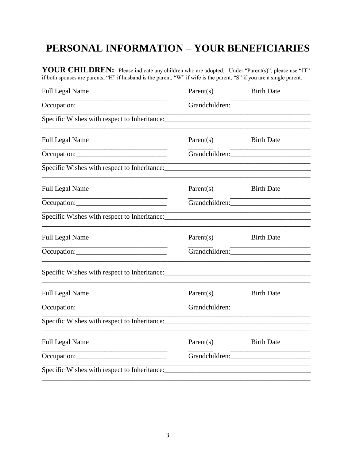### PERSONAL INFORMATION - YOUR BENEFICIARIES

YOUR CHILDREN: Please indicate any children who are adopted. Under "Parent(s)", please use "JT" if both spouses are parents, "H" if husband is the parent, "W" if wife is the parent, "S" if you are a single parent.

| <b>Full Legal Name</b>                                                           | Parent(s)                                                                                                      | <b>Birth Date</b> |  |
|----------------------------------------------------------------------------------|----------------------------------------------------------------------------------------------------------------|-------------------|--|
|                                                                                  | Grandchildren:                                                                                                 |                   |  |
|                                                                                  |                                                                                                                |                   |  |
| <b>Full Legal Name</b>                                                           | Parent(s)                                                                                                      | <b>Birth Date</b> |  |
|                                                                                  |                                                                                                                | Grandchildren:    |  |
| Specific Wishes with respect to Inheritance:                                     |                                                                                                                |                   |  |
| <b>Full Legal Name</b>                                                           | Parent $(s)$                                                                                                   | <b>Birth Date</b> |  |
|                                                                                  | Grandchildren:                                                                                                 |                   |  |
| Specific Wishes with respect to Inheritance: ___________________________________ |                                                                                                                |                   |  |
| Full Legal Name                                                                  | Parent $(s)$                                                                                                   | <b>Birth Date</b> |  |
| Occupation:                                                                      |                                                                                                                |                   |  |
|                                                                                  |                                                                                                                |                   |  |
| <b>Full Legal Name</b>                                                           | Parent(s)                                                                                                      | <b>Birth Date</b> |  |
|                                                                                  | Grandchildren: Value of Alberta Change and Changes and Changes and Changes and Changes and Changes and Changes |                   |  |
|                                                                                  |                                                                                                                |                   |  |
| <b>Full Legal Name</b>                                                           | Parent(s)                                                                                                      | <b>Birth Date</b> |  |
|                                                                                  | Grandchildren:                                                                                                 |                   |  |
| Specific Wishes with respect to Inheritance:                                     |                                                                                                                |                   |  |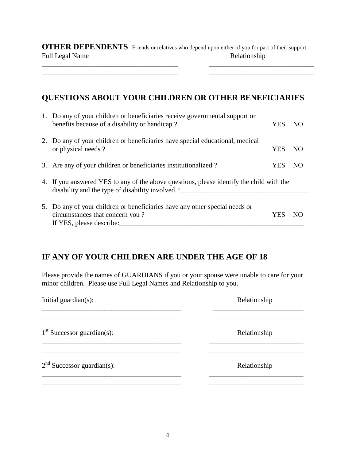**OTHER DEPENDENTS** Friends or relatives who depend upon either of you for part of their support. Full Legal Name Relationship

 $\overline{\phantom{a}}$  , and the set of the set of the set of the set of the set of the set of the set of the set of the set of the set of the set of the set of the set of the set of the set of the set of the set of the set of the s

#### **QUESTIONS ABOUT YOUR CHILDREN OR OTHER BENEFICIARIES**

| 1. Do any of your children or beneficiaries receive governmental support or<br>benefits because of a disability or handicap?                 | <b>YES</b> | NO. |
|----------------------------------------------------------------------------------------------------------------------------------------------|------------|-----|
| 2. Do any of your children or beneficiaries have special educational, medical<br>or physical needs?                                          | <b>YES</b> | NO. |
| 3. Are any of your children or beneficiaries institutionalized?                                                                              | YES        | NO  |
| 4. If you answered YES to any of the above questions, please identify the child with the<br>disability and the type of disability involved ? |            |     |
| 5. Do any of your children or beneficiaries have any other special needs or<br>circumstances that concern you?<br>If YES, please describe:   | YES        | NO. |

#### **IF ANY OF YOUR CHILDREN ARE UNDER THE AGE OF 18**

Please provide the names of GUARDIANS if you or your spouse were unable to care for your minor children. Please use Full Legal Names and Relationship to you.

| Initial guardian(s):         | Relationship |
|------------------------------|--------------|
| $1st$ Successor guardian(s): | Relationship |
| $2nd$ Successor guardian(s): | Relationship |
|                              |              |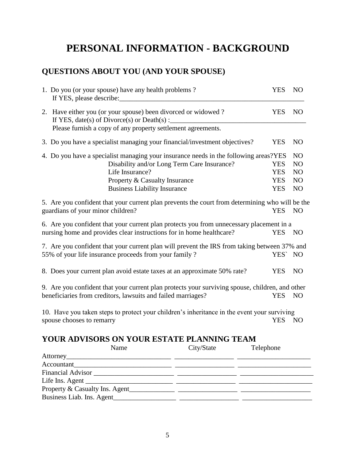### **PERSONAL INFORMATION - BACKGROUND**

### **QUESTIONS ABOUT YOU (AND YOUR SPOUSE)**

| 1. Do you (or your spouse) have any health problems?                                            | <b>YES</b> | N <sub>O</sub> |
|-------------------------------------------------------------------------------------------------|------------|----------------|
| 2. Have either you (or your spouse) been divorced or widowed?                                   | <b>YES</b> | N <sub>O</sub> |
| Please furnish a copy of any property settlement agreements.                                    |            |                |
| 3. Do you have a specialist managing your financial/investment objectives?                      | <b>YES</b> | N <sub>O</sub> |
| 4. Do you have a specialist managing your insurance needs in the following areas?YES            |            | N <sub>O</sub> |
| Disability and/or Long Term Care Insurance?                                                     | <b>YES</b> | N <sub>O</sub> |
| Life Insurance?                                                                                 | <b>YES</b> | NO             |
| Property & Casualty Insurance                                                                   | <b>YES</b> | N <sub>O</sub> |
| <b>Business Liability Insurance</b>                                                             | <b>YES</b> | N <sub>O</sub> |
| 5. Are you confident that your current plan prevents the court from determining who will be the |            |                |
| guardians of your minor children?                                                               | <b>YES</b> | <b>NO</b>      |
| 6. Are you confident that your current plan protects you from unnecessary placement in a        |            |                |
| nursing home and provides clear instructions for in home healthcare?                            | <b>YES</b> | <b>NO</b>      |
| 7. Are you confident that your current plan will prevent the IRS from taking between 37% and    |            |                |
| 55% of your life insurance proceeds from your family?                                           | YES' NO    |                |
| 8. Does your current plan avoid estate taxes at an approximate 50% rate?                        | <b>YES</b> | N <sub>O</sub> |
| 9. Are you confident that your current plan protects your surviving spouse, children, and other |            |                |
| beneficiaries from creditors, lawsuits and failed marriages?                                    | <b>YES</b> | N <sub>O</sub> |
| 10. Have you taken steps to protect your children's inheritance in the event your surviving     |            |                |
| spouse chooses to remarry                                                                       | <b>YES</b> | N <sub>O</sub> |
| YOUR ADVISORS ON YOUR ESTATE PLANNING TEAM                                                      |            |                |
| $N_{\rm o}$ $C_{\rm trv}/C_{\rm toto}$<br>Tolophone                                             |            |                |

| Name                      | City/State | Telephone |
|---------------------------|------------|-----------|
|                           |            |           |
|                           |            |           |
|                           |            |           |
|                           |            |           |
|                           |            |           |
| Business Liab. Ins. Agent |            |           |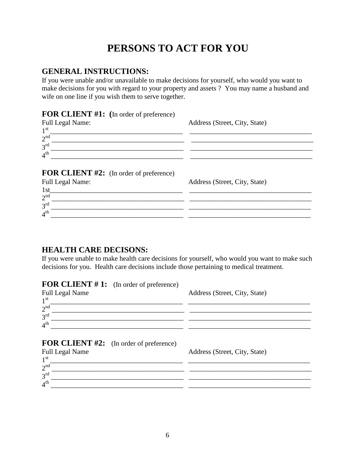### **PERSONS TO ACT FOR YOU**

#### **GENERAL INSTRUCTIONS:**

If you were unable and/or unavailable to make decisions for yourself, who would you want to make decisions for you with regard to your property and assets ? You may name a husband and wife on one line if you wish them to serve together.

#### **FOR CLIENT #1: (**In order of preference)

| <b>Full Legal Name:</b><br>$1^{\rm st}$        | Address (Street, City, State) |
|------------------------------------------------|-------------------------------|
| 2 <sup>nd</sup><br>$3^{\text{rd}}$             |                               |
| 4 <sup>th</sup>                                |                               |
| <b>FOR CLIENT #2:</b> (In order of preference) |                               |
| <b>Full Legal Name:</b>                        | Address (Street, City, State) |
| 1st                                            |                               |
| 2 <sup>nd</sup>                                |                               |
| $3^{\text{rd}}$                                |                               |
| 4 <sup>th</sup>                                |                               |

#### **HEALTH CARE DECISONS:**

If you were unable to make health care decisions for yourself, who would you want to make such decisions for you. Health care decisions include those pertaining to medical treatment.

#### **FOR CLIENT #1:** (In order of preference)

| <b>Full Legal Name</b><br>1 <sup>st</sup>      | Address (Street, City, State) |
|------------------------------------------------|-------------------------------|
| 2 <sup>nd</sup><br>$3^{\text{rd}}$             |                               |
| 4 <sup>th</sup>                                |                               |
| <b>FOR CLIENT #2:</b> (In order of preference) |                               |
| <b>Full Legal Name</b>                         | Address (Street, City, State) |
| $1^{\rm st}$<br>2 <sup>nd</sup>                |                               |
| 3 <sup>rd</sup>                                |                               |

4 th \_\_\_\_\_\_\_\_\_\_\_\_\_\_\_\_\_\_\_\_\_\_\_\_\_\_\_\_\_\_\_\_\_\_\_\_\_\_ \_\_\_\_\_\_\_\_\_\_\_\_\_\_\_\_\_\_\_\_\_\_\_\_\_\_\_\_\_\_\_\_\_\_\_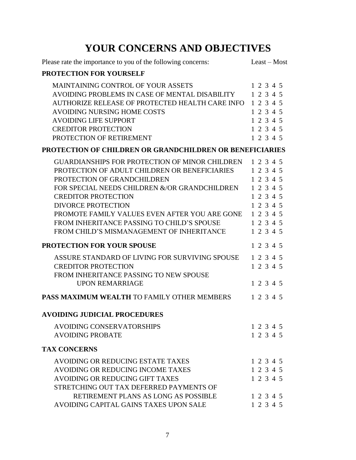## **YOUR CONCERNS AND OBJECTIVES**

| Please rate the importance to you of the following concerns:                                                                                                                                                                                                                                                                                                                                  | Least - Most                                                                                                      |
|-----------------------------------------------------------------------------------------------------------------------------------------------------------------------------------------------------------------------------------------------------------------------------------------------------------------------------------------------------------------------------------------------|-------------------------------------------------------------------------------------------------------------------|
| PROTECTION FOR YOURSELF                                                                                                                                                                                                                                                                                                                                                                       |                                                                                                                   |
| <b>MAINTAINING CONTROL OF YOUR ASSETS</b><br>AVOIDING PROBLEMS IN CASE OF MENTAL DISABILITY<br>AUTHORIZE RELEASE OF PROTECTED HEALTH CARE INFO<br><b>AVOIDING NURSING HOME COSTS</b><br><b>AVOIDING LIFE SUPPORT</b><br><b>CREDITOR PROTECTION</b><br>PROTECTION OF RETIREMENT                                                                                                                | 1 2 3 4 5<br>1 2 3 4 5<br>12345<br>1 2 3 4 5<br>1 2 3 4 5<br>1 2 3 4 5<br>1 2 3 4 5                               |
| PROTECTION OF CHILDREN OR GRANDCHILDREN OR BENEFICIARIES                                                                                                                                                                                                                                                                                                                                      |                                                                                                                   |
| <b>GUARDIANSHIPS FOR PROTECTION OF MINOR CHILDREN</b><br>PROTECTION OF ADULT CHILDREN OR BENEFICIARIES<br>PROTECTION OF GRANDCHILDREN<br>FOR SPECIAL NEEDS CHILDREN &/OR GRANDCHILDREN<br><b>CREDITOR PROTECTION</b><br><b>DIVORCE PROTECTION</b><br>PROMOTE FAMILY VALUES EVEN AFTER YOU ARE GONE<br>FROM INHERITANCE PASSING TO CHILD'S SPOUSE<br>FROM CHILD'S MISMANAGEMENT OF INHERITANCE | 1 2 3 4 5<br>1 2 3 4 5<br>1 2 3 4 5<br>1 2 3 4 5<br>1 2 3 4 5<br>1 2 3 4 5<br>1 2 3 4 5<br>1 2 3 4 5<br>1 2 3 4 5 |
| PROTECTION FOR YOUR SPOUSE                                                                                                                                                                                                                                                                                                                                                                    | 1 2 3 4 5                                                                                                         |
| ASSURE STANDARD OF LIVING FOR SURVIVING SPOUSE<br><b>CREDITOR PROTECTION</b><br>FROM INHERITANCE PASSING TO NEW SPOUSE<br><b>UPON REMARRIAGE</b>                                                                                                                                                                                                                                              | 1 2 3 4 5<br>1 2 3 4 5<br>1 2 3 4 5                                                                               |
| <b>PASS MAXIMUM WEALTH TO FAMILY OTHER MEMBERS</b>                                                                                                                                                                                                                                                                                                                                            | 1 2 3 4 5                                                                                                         |
| <b>AVOIDING JUDICIAL PROCEDURES</b>                                                                                                                                                                                                                                                                                                                                                           |                                                                                                                   |
| <b>AVOIDING CONSERVATORSHIPS</b><br><b>AVOIDING PROBATE</b>                                                                                                                                                                                                                                                                                                                                   | 1 2 3 4 5<br>1 2 3 4 5                                                                                            |
| <b>TAX CONCERNS</b>                                                                                                                                                                                                                                                                                                                                                                           |                                                                                                                   |
| AVOIDING OR REDUCING ESTATE TAXES<br>AVOIDING OR REDUCING INCOME TAXES<br>AVOIDING OR REDUCING GIFT TAXES<br>STRETCHING OUT TAX DEFERRED PAYMENTS OF                                                                                                                                                                                                                                          | 1 2 3 4 5<br>1 2 3 4 5<br>1 2 3 4 5                                                                               |
| RETIREMENT PLANS AS LONG AS POSSIBLE<br>AVOIDING CAPITAL GAINS TAXES UPON SALE                                                                                                                                                                                                                                                                                                                | 1 2 3 4 5<br>1 2 3 4 5                                                                                            |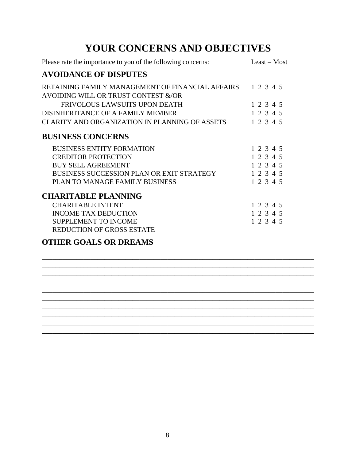### **YOUR CONCERNS AND OBJECTIVES**

| Please rate the importance to you of the following concerns:                                      | Least – Most |
|---------------------------------------------------------------------------------------------------|--------------|
| <b>AVOIDANCE OF DISPUTES</b>                                                                      |              |
| RETAINING FAMILY MANAGEMENT OF FINANCIAL AFFAIRS 1 2 3 4 5<br>AVOIDING WILL OR TRUST CONTEST &/OR |              |
| FRIVOLOUS LAWSUITS UPON DEATH                                                                     | 1 2 3 4 5    |
| DISINHERITANCE OF A FAMILY MEMBER                                                                 | 1 2 3 4 5    |
| CLARITY AND ORGANIZATION IN PLANNING OF ASSETS                                                    | 1 2 3 4 5    |
| <b>BUSINESS CONCERNS</b>                                                                          |              |
| <b>BUSINESS ENTITY FORMATION</b>                                                                  | 1 2 3 4 5    |
| <b>CREDITOR PROTECTION</b>                                                                        | 1 2 3 4 5    |
| <b>BUY SELL AGREEMENT</b>                                                                         | 1 2 3 4 5    |
| BUSINESS SUCCESSION PLAN OR EXIT STRATEGY                                                         | 1 2 3 4 5    |
| PLAN TO MANAGE FAMILY BUSINESS                                                                    | 1 2 3 4 5    |
| <b>CHARITABLE PLANNING</b>                                                                        |              |
| <b>CHARITABLE INTENT</b>                                                                          | 1 2 3 4 5    |
| <b>INCOME TAX DEDUCTION</b>                                                                       | 1 2 3 4 5    |
| <b>SUPPLEMENT TO INCOME</b>                                                                       | 1 2 3 4 5    |
| REDUCTION OF GROSS ESTATE                                                                         |              |
|                                                                                                   |              |

\_\_\_\_\_\_\_\_\_\_\_\_\_\_\_\_\_\_\_\_\_\_\_\_\_\_\_\_\_\_\_\_\_\_\_\_\_\_\_\_\_\_\_\_\_\_\_\_\_\_\_\_\_\_\_\_\_\_\_\_\_\_\_\_\_\_\_\_\_\_\_\_\_\_\_\_\_\_ \_\_\_\_\_\_\_\_\_\_\_\_\_\_\_\_\_\_\_\_\_\_\_\_\_\_\_\_\_\_\_\_\_\_\_\_\_\_\_\_\_\_\_\_\_\_\_\_\_\_\_\_\_\_\_\_\_\_\_\_\_\_\_\_\_\_\_\_\_\_\_\_\_\_\_\_\_\_ \_\_\_\_\_\_\_\_\_\_\_\_\_\_\_\_\_\_\_\_\_\_\_\_\_\_\_\_\_\_\_\_\_\_\_\_\_\_\_\_\_\_\_\_\_\_\_\_\_\_\_\_\_\_\_\_\_\_\_\_\_\_\_\_\_\_\_\_\_\_\_\_\_\_\_\_\_\_ \_\_\_\_\_\_\_\_\_\_\_\_\_\_\_\_\_\_\_\_\_\_\_\_\_\_\_\_\_\_\_\_\_\_\_\_\_\_\_\_\_\_\_\_\_\_\_\_\_\_\_\_\_\_\_\_\_\_\_\_\_\_\_\_\_\_\_\_\_\_\_\_\_\_\_\_\_\_ \_\_\_\_\_\_\_\_\_\_\_\_\_\_\_\_\_\_\_\_\_\_\_\_\_\_\_\_\_\_\_\_\_\_\_\_\_\_\_\_\_\_\_\_\_\_\_\_\_\_\_\_\_\_\_\_\_\_\_\_\_\_\_\_\_\_\_\_\_\_\_\_\_\_\_\_\_\_ \_\_\_\_\_\_\_\_\_\_\_\_\_\_\_\_\_\_\_\_\_\_\_\_\_\_\_\_\_\_\_\_\_\_\_\_\_\_\_\_\_\_\_\_\_\_\_\_\_\_\_\_\_\_\_\_\_\_\_\_\_\_\_\_\_\_\_\_\_\_\_\_\_\_\_\_\_\_

\_\_\_\_\_\_\_\_\_\_\_\_\_\_\_\_\_\_\_\_\_\_\_\_\_\_\_\_\_\_\_\_\_\_\_\_\_\_\_\_\_\_\_\_\_\_\_\_\_\_\_\_\_\_\_\_\_\_\_\_\_\_\_\_\_\_\_\_\_\_\_\_\_\_\_\_\_\_

#### **OTHER GOALS OR DREAMS**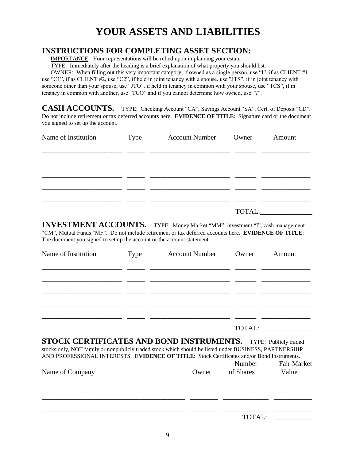### **YOUR ASSETS AND LIABILITIES**

#### **INSTRUCTIONS FOR COMPLETING ASSET SECTION:**

IMPORTANCE: Your representations will be relied upon in planning your estate.

TYPE: Immediately after the heading is a brief explanation of what property you should list.

 OWNER: When filling out this very important category, if owned as a single person, use "I", if as CLIENT #1, use "C1", if as CLIENT #2, use "C2", if held in joint tenancy with a spouse, use "JTS", if in joint tenancy with someone other than your spouse, use "JTO", if held in tenancy in common with your spouse, use "TCS", if in

tenancy in common with another, use "TCO" and if you cannot determine how owned, use "?".

CASH ACCOUNTS. TYPE: Checking Account "CA"; Savings Account "SA"; Cert. of Deposit "CD". Do not include retirement or tax deferred accounts here. **EVIDENCE OF TITLE**: Signature card or the document you signed to set up the account.

| Name of Institution | Type | <b>Account Number</b> Owner | Amount |
|---------------------|------|-----------------------------|--------|
|                     |      |                             |        |
|                     |      |                             |        |
|                     |      |                             |        |
|                     |      |                             |        |
|                     |      |                             | TOTAL: |

**INVESTMENT ACCOUNTS.** TYPE: Money Market "MM", investment "I", cash management "CM", Mutual Funds "MF". Do not include retirement or tax deferred accounts here. **EVIDENCE OF TITLE**: The document you signed to set up the account or the account statement.

| Name of Institution | Type | <b>Account Number</b> Owner |        | Amount |
|---------------------|------|-----------------------------|--------|--------|
|                     |      |                             |        |        |
|                     |      |                             |        |        |
|                     |      |                             |        |        |
|                     |      |                             | TOTAL: |        |

**STOCK CERTIFICATES AND BOND INSTRUMENTS.** TYPE: Publicly traded stocks only, NOT family or nonpublicly traded stock which should be listed under BUSINESS, PARTNERSHIP AND PROFESSIONAL INTERESTS. **EVIDENCE OF TITLE**: Stock Certificates and/or Bond Instruments.

| Name of Company | Owner | Number<br>of Shares | <b>Fair Market</b><br>Value |
|-----------------|-------|---------------------|-----------------------------|
|                 |       |                     |                             |
|                 |       |                     |                             |
|                 |       | TOTAL:              |                             |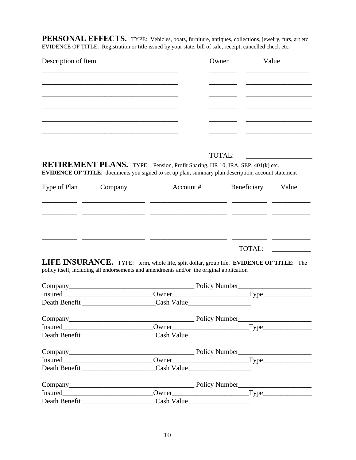PERSONAL EFFECTS. TYPE: Vehicles, boats, furniture, antiques, collections, jewelry, furs, art etc. EVIDENCE OF TITLE: Registration or title issued by your state, bill of sale, receipt, cancelled check etc.

| Description of Item | Owner | Value |
|---------------------|-------|-------|
|                     |       |       |
|                     |       |       |
|                     |       |       |
|                     |       |       |
|                     |       |       |
|                     |       |       |
|                     |       |       |

#### TOTAL:

**RETIREMENT PLANS.** TYPE: Pension, Profit Sharing, HR 10, IRA, SEP, 401(k) etc. **EVIDENCE OF TITLE:** documents you signed to set up plan, summary plan description, account statement

| Type of Plan | Company | Account # | Beneficiary | Value |
|--------------|---------|-----------|-------------|-------|
|              |         |           |             |       |
|              |         |           |             |       |
|              |         |           |             |       |
|              |         |           | TOTAL:      |       |

**LIFE INSURANCE.** TYPE: term, whole life, split dollar, group life. **EVIDENCE OF TITLE**: The policy itself, including all endorsements and amendments and/or the original application

|  | $\text{Power}$ $\text{Type}$ |
|--|------------------------------|
|  |                              |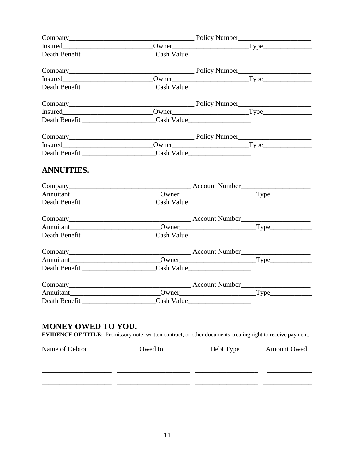| <b>ANNUITIES.</b>                                                                                                                               |         |           |                    |
|-------------------------------------------------------------------------------------------------------------------------------------------------|---------|-----------|--------------------|
|                                                                                                                                                 |         |           |                    |
| Annuitant Type                                                                                                                                  |         |           |                    |
|                                                                                                                                                 |         |           |                    |
|                                                                                                                                                 |         |           |                    |
|                                                                                                                                                 |         |           |                    |
|                                                                                                                                                 |         |           |                    |
|                                                                                                                                                 |         |           |                    |
|                                                                                                                                                 |         |           |                    |
|                                                                                                                                                 |         |           |                    |
|                                                                                                                                                 |         |           |                    |
| Annuitant                                                                                                                                       |         |           |                    |
|                                                                                                                                                 |         |           |                    |
| <b>MONEY OWED TO YOU.</b><br><b>EVIDENCE OF TITLE:</b> Promissory note, written contract, or other documents creating right to receive payment. |         |           |                    |
| Name of Debtor                                                                                                                                  | Owed to | Debt Type | <b>Amount Owed</b> |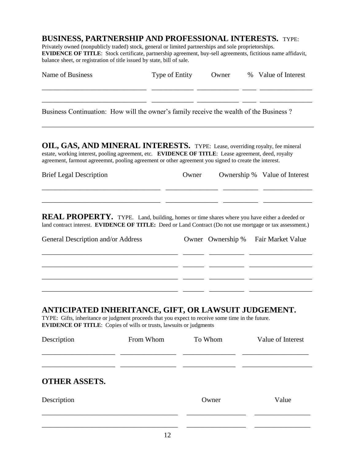#### **BUSINESS, PARTNERSHIP AND PROFESSIONAL INTERESTS.** TYPE:

Privately owned (nonpublicly traded) stock, general or limited partnerships and sole proprietorships. **EVIDENCE OF TITLE:** Stock certificate, partnership agreement, buy-sell agreements, fictitious name affidavit, balance sheet, or registration of title issued by state, bill of sale.

| <b>Name of Business</b>                                                                                                                                                                                                                                                                               | Type of Entity |         | Owner             | % Value of Interest           |
|-------------------------------------------------------------------------------------------------------------------------------------------------------------------------------------------------------------------------------------------------------------------------------------------------------|----------------|---------|-------------------|-------------------------------|
| Business Continuation: How will the owner's family receive the wealth of the Business?                                                                                                                                                                                                                |                |         |                   |                               |
| OIL, GAS, AND MINERAL INTERESTS. TYPE: Lease, overriding royalty, fee mineral<br>estate, working interest, pooling agreement, etc. <b>EVIDENCE OF TITLE</b> : Lease agreement, deed, royalty<br>agreement, farmout agreeemnt, pooling agreement or other agreement you signed to create the interest. |                |         |                   |                               |
| <b>Brief Legal Description</b>                                                                                                                                                                                                                                                                        |                | Owner   |                   | Ownership % Value of Interest |
| <b>REAL PROPERTY.</b> TYPE. Land, building, homes or time shares where you have either a deeded or<br>land contract interest. <b>EVIDENCE OF TITLE:</b> Deed or Land Contract (Do not use mortgage or tax assessment.)                                                                                |                |         |                   |                               |
| General Description and/or Address                                                                                                                                                                                                                                                                    |                |         | Owner Ownership % | Fair Market Value             |
|                                                                                                                                                                                                                                                                                                       |                |         |                   |                               |
| ANTICIPATED INHERITANCE, GIFT, OR LAWSUIT JUDGEMENT.<br>TYPE: Gifts, inheritance or judgment proceeds that you expect to receive some time in the future.<br><b>EVIDENCE OF TITLE:</b> Copies of wills or trusts, lawsuits or judgments                                                               |                |         |                   |                               |
| Description                                                                                                                                                                                                                                                                                           | From Whom      | To Whom |                   | Value of Interest             |
| <b>OTHER ASSETS.</b>                                                                                                                                                                                                                                                                                  |                |         |                   |                               |
| Description                                                                                                                                                                                                                                                                                           |                |         | Owner             | Value                         |
|                                                                                                                                                                                                                                                                                                       |                |         |                   |                               |